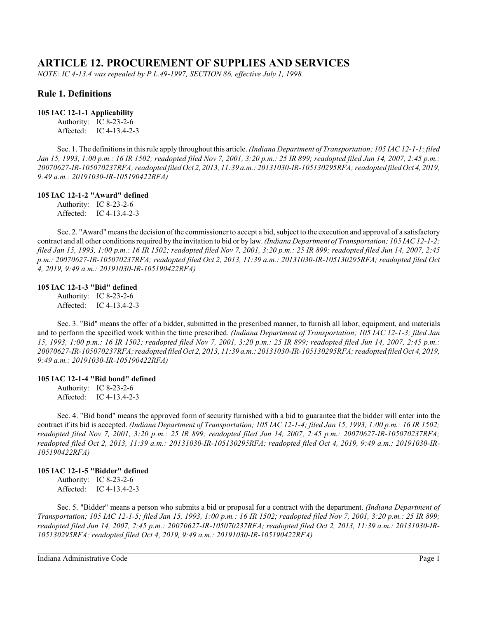# **ARTICLE 12. PROCUREMENT OF SUPPLIES AND SERVICES**

*NOTE: IC 4-13.4 was repealed by P.L.49-1997, SECTION 86, effective July 1, 1998.*

## **Rule 1. Definitions**

## **105 IAC 12-1-1 Applicability**

Authority: IC 8-23-2-6 Affected: IC 4-13.4-2-3

Sec. 1. The definitionsin thisrule apply throughout this article. *(Indiana Department of Transportation; 105 IAC 12-1-1; filed Jan 15, 1993, 1:00 p.m.: 16 IR 1502; readopted filed Nov 7, 2001, 3:20 p.m.: 25 IR 899; readopted filed Jun 14, 2007, 2:45 p.m.: 20070627-IR-105070237RFA; readopted filed Oct 2, 2013, 11:39 a.m.: 20131030-IR-105130295RFA; readopted filed Oct 4, 2019, 9:49 a.m.: 20191030-IR-105190422RFA)*

## **105 IAC 12-1-2 "Award" defined**

Authority: IC 8-23-2-6 Affected: IC 4-13.4-2-3

Sec. 2. "Award" means the decision of the commissioner to accept a bid, subject to the execution and approval of a satisfactory contract and all other conditions required by the invitation to bid or by law. *(Indiana Department of Transportation; 105 IAC 12-1-2; filed Jan 15, 1993, 1:00 p.m.: 16 IR 1502; readopted filed Nov 7, 2001, 3:20 p.m.: 25 IR 899; readopted filed Jun 14, 2007, 2:45 p.m.: 20070627-IR-105070237RFA; readopted filed Oct 2, 2013, 11:39 a.m.: 20131030-IR-105130295RFA; readopted filed Oct 4, 2019, 9:49 a.m.: 20191030-IR-105190422RFA)*

#### **105 IAC 12-1-3 "Bid" defined**

Authority: IC 8-23-2-6 Affected: IC 4-13.4-2-3

Sec. 3. "Bid" means the offer of a bidder, submitted in the prescribed manner, to furnish all labor, equipment, and materials and to perform the specified work within the time prescribed. *(Indiana Department of Transportation; 105 IAC 12-1-3; filed Jan 15, 1993, 1:00 p.m.: 16 IR 1502; readopted filed Nov 7, 2001, 3:20 p.m.: 25 IR 899; readopted filed Jun 14, 2007, 2:45 p.m.: 20070627-IR-105070237RFA; readopted filed Oct 2, 2013, 11:39 a.m.: 20131030-IR-105130295RFA; readopted filed Oct 4, 2019, 9:49 a.m.: 20191030-IR-105190422RFA)*

## **105 IAC 12-1-4 "Bid bond" defined**

Authority: IC 8-23-2-6 Affected: IC 4-13.4-2-3

Sec. 4. "Bid bond" means the approved form of security furnished with a bid to guarantee that the bidder will enter into the contract if its bid is accepted. *(Indiana Department of Transportation; 105 IAC 12-1-4; filed Jan 15, 1993, 1:00 p.m.: 16 IR 1502; readopted filed Nov 7, 2001, 3:20 p.m.: 25 IR 899; readopted filed Jun 14, 2007, 2:45 p.m.: 20070627-IR-105070237RFA; readopted filed Oct 2, 2013, 11:39 a.m.: 20131030-IR-105130295RFA; readopted filed Oct 4, 2019, 9:49 a.m.: 20191030-IR-105190422RFA)*

## **105 IAC 12-1-5 "Bidder" defined**

Authority: IC 8-23-2-6 Affected: IC 4-13.4-2-3

Sec. 5. "Bidder" means a person who submits a bid or proposal for a contract with the department. *(Indiana Department of Transportation; 105 IAC 12-1-5; filed Jan 15, 1993, 1:00 p.m.: 16 IR 1502; readopted filed Nov 7, 2001, 3:20 p.m.: 25 IR 899; readopted filed Jun 14, 2007, 2:45 p.m.: 20070627-IR-105070237RFA; readopted filed Oct 2, 2013, 11:39 a.m.: 20131030-IR-105130295RFA; readopted filed Oct 4, 2019, 9:49 a.m.: 20191030-IR-105190422RFA)*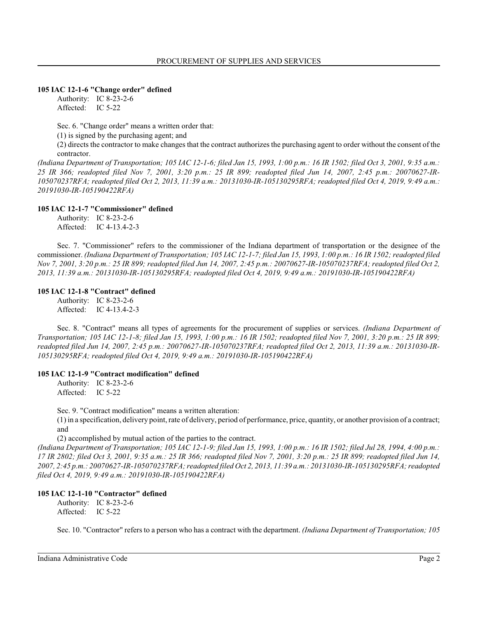#### **105 IAC 12-1-6 "Change order" defined**

Authority: IC 8-23-2-6 Affected: IC 5-22

Sec. 6. "Change order" means a written order that:

(1) is signed by the purchasing agent; and

(2) directs the contractor to make changes that the contract authorizes the purchasing agent to order without the consent of the contractor.

*(Indiana Department of Transportation; 105 IAC 12-1-6; filed Jan 15, 1993, 1:00 p.m.: 16 IR 1502; filed Oct 3, 2001, 9:35 a.m.: 25 IR 366; readopted filed Nov 7, 2001, 3:20 p.m.: 25 IR 899; readopted filed Jun 14, 2007, 2:45 p.m.: 20070627-IR-105070237RFA; readopted filed Oct 2, 2013, 11:39 a.m.: 20131030-IR-105130295RFA; readopted filed Oct 4, 2019, 9:49 a.m.: 20191030-IR-105190422RFA)*

#### **105 IAC 12-1-7 "Commissioner" defined**

Authority: IC 8-23-2-6 Affected: IC 4-13.4-2-3

Sec. 7. "Commissioner" refers to the commissioner of the Indiana department of transportation or the designee of the commissioner. *(Indiana Department of Transportation; 105 IAC 12-1-7; filed Jan 15, 1993, 1:00 p.m.: 16 IR 1502; readopted filed Nov 7, 2001, 3:20 p.m.: 25 IR 899; readopted filed Jun 14, 2007, 2:45 p.m.: 20070627-IR-105070237RFA; readopted filed Oct 2, 2013, 11:39 a.m.: 20131030-IR-105130295RFA; readopted filed Oct 4, 2019, 9:49 a.m.: 20191030-IR-105190422RFA)*

#### **105 IAC 12-1-8 "Contract" defined**

Authority: IC 8-23-2-6 Affected: IC 4-13.4-2-3

Sec. 8. "Contract" means all types of agreements for the procurement of supplies or services. *(Indiana Department of Transportation; 105 IAC 12-1-8; filed Jan 15, 1993, 1:00 p.m.: 16 IR 1502; readopted filed Nov 7, 2001, 3:20 p.m.: 25 IR 899; readopted filed Jun 14, 2007, 2:45 p.m.: 20070627-IR-105070237RFA; readopted filed Oct 2, 2013, 11:39 a.m.: 20131030-IR-105130295RFA; readopted filed Oct 4, 2019, 9:49 a.m.: 20191030-IR-105190422RFA)*

## **105 IAC 12-1-9 "Contract modification" defined**

Authority: IC 8-23-2-6 Affected: IC 5-22

Sec. 9. "Contract modification" means a written alteration:

(1) in a specification, delivery point, rate of delivery, period of performance, price, quantity, or another provision of a contract; and

(2) accomplished by mutual action of the parties to the contract.

*(Indiana Department of Transportation; 105 IAC 12-1-9; filed Jan 15, 1993, 1:00 p.m.: 16 IR 1502; filed Jul 28, 1994, 4:00 p.m.: 17 IR 2802; filed Oct 3, 2001, 9:35 a.m.: 25 IR 366; readopted filed Nov 7, 2001, 3:20 p.m.: 25 IR 899; readopted filed Jun 14, 2007, 2:45 p.m.: 20070627-IR-105070237RFA; readopted filed Oct 2, 2013, 11:39 a.m.: 20131030-IR-105130295RFA; readopted filed Oct 4, 2019, 9:49 a.m.: 20191030-IR-105190422RFA)*

## **105 IAC 12-1-10 "Contractor" defined**

Authority: IC 8-23-2-6 Affected: IC 5-22

Sec. 10. "Contractor" refers to a person who has a contract with the department. *(Indiana Department of Transportation; 105*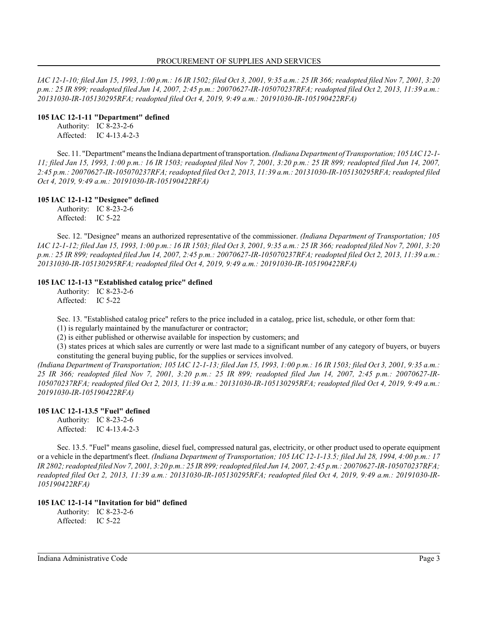*IAC 12-1-10; filed Jan 15, 1993, 1:00 p.m.: 16 IR 1502; filed Oct 3, 2001, 9:35 a.m.: 25 IR 366; readopted filed Nov 7, 2001, 3:20 p.m.: 25 IR 899; readopted filed Jun 14, 2007, 2:45 p.m.: 20070627-IR-105070237RFA; readopted filed Oct 2, 2013, 11:39 a.m.: 20131030-IR-105130295RFA; readopted filed Oct 4, 2019, 9:49 a.m.: 20191030-IR-105190422RFA)*

#### **105 IAC 12-1-11 "Department" defined**

Authority: IC 8-23-2-6 Affected: IC 4-13.4-2-3

Sec. 11. "Department" means the Indiana department of transportation. *(Indiana Department of Transportation; 105 IAC12-1- 11; filed Jan 15, 1993, 1:00 p.m.: 16 IR 1503; readopted filed Nov 7, 2001, 3:20 p.m.: 25 IR 899; readopted filed Jun 14, 2007, 2:45 p.m.: 20070627-IR-105070237RFA; readopted filed Oct 2, 2013, 11:39 a.m.: 20131030-IR-105130295RFA; readopted filed Oct 4, 2019, 9:49 a.m.: 20191030-IR-105190422RFA)*

## **105 IAC 12-1-12 "Designee" defined**

Authority: IC 8-23-2-6 Affected: IC 5-22

Sec. 12. "Designee" means an authorized representative of the commissioner. *(Indiana Department of Transportation; 105 IAC 12-1-12; filed Jan 15, 1993, 1:00 p.m.: 16 IR 1503; filed Oct 3, 2001, 9:35 a.m.: 25 IR 366; readopted filed Nov 7, 2001, 3:20 p.m.: 25 IR 899; readopted filed Jun 14, 2007, 2:45 p.m.: 20070627-IR-105070237RFA; readopted filed Oct 2, 2013, 11:39 a.m.: 20131030-IR-105130295RFA; readopted filed Oct 4, 2019, 9:49 a.m.: 20191030-IR-105190422RFA)*

## **105 IAC 12-1-13 "Established catalog price" defined**

Authority: IC 8-23-2-6 Affected: IC 5-22

Sec. 13. "Established catalog price" refers to the price included in a catalog, price list, schedule, or other form that:

(1) is regularly maintained by the manufacturer or contractor;

(2) is either published or otherwise available for inspection by customers; and

(3) states prices at which sales are currently or were last made to a significant number of any category of buyers, or buyers constituting the general buying public, for the supplies or services involved.

*(Indiana Department of Transportation; 105 IAC 12-1-13; filed Jan 15, 1993, 1:00 p.m.: 16 IR 1503; filed Oct 3, 2001, 9:35 a.m.: 25 IR 366; readopted filed Nov 7, 2001, 3:20 p.m.: 25 IR 899; readopted filed Jun 14, 2007, 2:45 p.m.: 20070627-IR-105070237RFA; readopted filed Oct 2, 2013, 11:39 a.m.: 20131030-IR-105130295RFA; readopted filed Oct 4, 2019, 9:49 a.m.: 20191030-IR-105190422RFA)*

## **105 IAC 12-1-13.5 "Fuel" defined**

Authority: IC 8-23-2-6 Affected: IC 4-13.4-2-3

Sec. 13.5. "Fuel" means gasoline, diesel fuel, compressed natural gas, electricity, or other product used to operate equipment or a vehicle in the department's fleet. *(Indiana Department of Transportation; 105 IAC 12-1-13.5; filed Jul 28, 1994, 4:00 p.m.: 17 IR 2802; readopted filed Nov 7, 2001, 3:20 p.m.: 25 IR 899;readopted filed Jun 14, 2007, 2:45 p.m.: 20070627-IR-105070237RFA; readopted filed Oct 2, 2013, 11:39 a.m.: 20131030-IR-105130295RFA; readopted filed Oct 4, 2019, 9:49 a.m.: 20191030-IR-105190422RFA)*

## **105 IAC 12-1-14 "Invitation for bid" defined**

Authority: IC 8-23-2-6 Affected: IC 5-22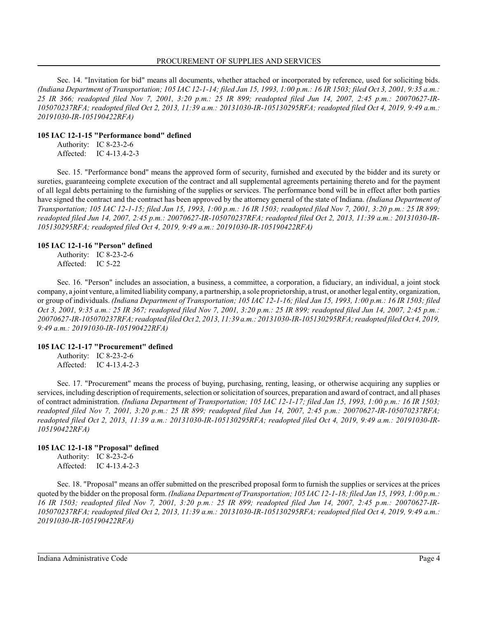Sec. 14. "Invitation for bid" means all documents, whether attached or incorporated by reference, used for soliciting bids. *(Indiana Department of Transportation; 105 IAC 12-1-14; filed Jan 15, 1993, 1:00 p.m.: 16 IR 1503; filed Oct 3, 2001, 9:35 a.m.: 25 IR 366; readopted filed Nov 7, 2001, 3:20 p.m.: 25 IR 899; readopted filed Jun 14, 2007, 2:45 p.m.: 20070627-IR-105070237RFA; readopted filed Oct 2, 2013, 11:39 a.m.: 20131030-IR-105130295RFA; readopted filed Oct 4, 2019, 9:49 a.m.: 20191030-IR-105190422RFA)*

#### **105 IAC 12-1-15 "Performance bond" defined**

Authority: IC 8-23-2-6 Affected: IC 4-13.4-2-3

Sec. 15. "Performance bond" means the approved form of security, furnished and executed by the bidder and its surety or sureties, guaranteeing complete execution of the contract and all supplemental agreements pertaining thereto and for the payment of all legal debts pertaining to the furnishing of the supplies or services. The performance bond will be in effect after both parties have signed the contract and the contract has been approved by the attorney general of the state of Indiana. *(Indiana Department of Transportation; 105 IAC 12-1-15; filed Jan 15, 1993, 1:00 p.m.: 16 IR 1503; readopted filed Nov 7, 2001, 3:20 p.m.: 25 IR 899; readopted filed Jun 14, 2007, 2:45 p.m.: 20070627-IR-105070237RFA; readopted filed Oct 2, 2013, 11:39 a.m.: 20131030-IR-105130295RFA; readopted filed Oct 4, 2019, 9:49 a.m.: 20191030-IR-105190422RFA)*

#### **105 IAC 12-1-16 "Person" defined**

Authority: IC 8-23-2-6 Affected: IC 5-22

Sec. 16. "Person" includes an association, a business, a committee, a corporation, a fiduciary, an individual, a joint stock company, a joint venture, a limited liability company, a partnership, a sole proprietorship, a trust, or another legal entity, organization, or group of individuals. *(Indiana Department of Transportation; 105 IAC 12-1-16; filed Jan 15, 1993, 1:00 p.m.: 16 IR 1503; filed Oct 3, 2001, 9:35 a.m.: 25 IR 367; readopted filed Nov 7, 2001, 3:20 p.m.: 25 IR 899; readopted filed Jun 14, 2007, 2:45 p.m.: 20070627-IR-105070237RFA; readopted filed Oct 2, 2013, 11:39 a.m.: 20131030-IR-105130295RFA; readopted filed Oct 4, 2019, 9:49 a.m.: 20191030-IR-105190422RFA)*

## **105 IAC 12-1-17 "Procurement" defined**

Authority: IC 8-23-2-6 Affected: IC 4-13.4-2-3

Sec. 17. "Procurement" means the process of buying, purchasing, renting, leasing, or otherwise acquiring any supplies or services, including description of requirements, selection orsolicitation of sources, preparation and award of contract, and all phases of contract administration. *(Indiana Department of Transportation; 105 IAC 12-1-17; filed Jan 15, 1993, 1:00 p.m.: 16 IR 1503; readopted filed Nov 7, 2001, 3:20 p.m.: 25 IR 899; readopted filed Jun 14, 2007, 2:45 p.m.: 20070627-IR-105070237RFA; readopted filed Oct 2, 2013, 11:39 a.m.: 20131030-IR-105130295RFA; readopted filed Oct 4, 2019, 9:49 a.m.: 20191030-IR-105190422RFA)*

## **105 IAC 12-1-18 "Proposal" defined**

Authority: IC 8-23-2-6 Affected: IC 4-13.4-2-3

Sec. 18. "Proposal" means an offer submitted on the prescribed proposal form to furnish the supplies or services at the prices quoted by the bidder on the proposal form. *(Indiana Department of Transportation; 105 IAC 12-1-18; filed Jan 15, 1993, 1:00 p.m.: 16 IR 1503; readopted filed Nov 7, 2001, 3:20 p.m.: 25 IR 899; readopted filed Jun 14, 2007, 2:45 p.m.: 20070627-IR-105070237RFA; readopted filed Oct 2, 2013, 11:39 a.m.: 20131030-IR-105130295RFA; readopted filed Oct 4, 2019, 9:49 a.m.: 20191030-IR-105190422RFA)*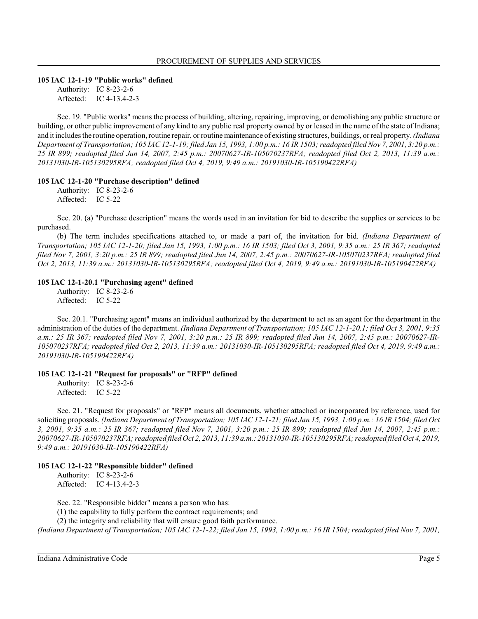#### **105 IAC 12-1-19 "Public works" defined**

Authority: IC 8-23-2-6 Affected: IC 4-13.4-2-3

Sec. 19. "Public works" means the process of building, altering, repairing, improving, or demolishing any public structure or building, or other public improvement of any kind to any public real property owned by or leased in the name of the state of Indiana; and it includes the routine operation, routine repair, or routine maintenance of existing structures, buildings, or real property. *(Indiana Department of Transportation; 105 IAC 12-1-19; filed Jan 15, 1993, 1:00 p.m.: 16 IR 1503; readopted filed Nov 7, 2001, 3:20 p.m.: 25 IR 899; readopted filed Jun 14, 2007, 2:45 p.m.: 20070627-IR-105070237RFA; readopted filed Oct 2, 2013, 11:39 a.m.: 20131030-IR-105130295RFA; readopted filed Oct 4, 2019, 9:49 a.m.: 20191030-IR-105190422RFA)*

#### **105 IAC 12-1-20 "Purchase description" defined**

Authority: IC 8-23-2-6 Affected: IC 5-22

Sec. 20. (a) "Purchase description" means the words used in an invitation for bid to describe the supplies or services to be purchased.

(b) The term includes specifications attached to, or made a part of, the invitation for bid. *(Indiana Department of Transportation; 105 IAC 12-1-20; filed Jan 15, 1993, 1:00 p.m.: 16 IR 1503; filed Oct 3, 2001, 9:35 a.m.: 25 IR 367; readopted filed Nov 7, 2001, 3:20 p.m.: 25 IR 899; readopted filed Jun 14, 2007, 2:45 p.m.: 20070627-IR-105070237RFA; readopted filed Oct 2, 2013, 11:39 a.m.: 20131030-IR-105130295RFA; readopted filed Oct 4, 2019, 9:49 a.m.: 20191030-IR-105190422RFA)*

#### **105 IAC 12-1-20.1 "Purchasing agent" defined**

Authority: IC 8-23-2-6 Affected: IC 5-22

Sec. 20.1. "Purchasing agent" means an individual authorized by the department to act as an agent for the department in the administration of the duties of the department. *(Indiana Department of Transportation; 105 IAC 12-1-20.1; filed Oct 3, 2001, 9:35 a.m.: 25 IR 367; readopted filed Nov 7, 2001, 3:20 p.m.: 25 IR 899; readopted filed Jun 14, 2007, 2:45 p.m.: 20070627-IR-105070237RFA; readopted filed Oct 2, 2013, 11:39 a.m.: 20131030-IR-105130295RFA; readopted filed Oct 4, 2019, 9:49 a.m.: 20191030-IR-105190422RFA)*

#### **105 IAC 12-1-21 "Request for proposals" or "RFP" defined**

Authority: IC 8-23-2-6 Affected: IC 5-22

Sec. 21. "Request for proposals" or "RFP" means all documents, whether attached or incorporated by reference, used for soliciting proposals. *(Indiana Department of Transportation; 105 IAC 12-1-21; filed Jan 15, 1993, 1:00 p.m.: 16 IR 1504; filed Oct 3, 2001, 9:35 a.m.: 25 IR 367; readopted filed Nov 7, 2001, 3:20 p.m.: 25 IR 899; readopted filed Jun 14, 2007, 2:45 p.m.: 20070627-IR-105070237RFA; readopted filed Oct 2, 2013, 11:39 a.m.: 20131030-IR-105130295RFA; readopted filed Oct 4, 2019, 9:49 a.m.: 20191030-IR-105190422RFA)*

#### **105 IAC 12-1-22 "Responsible bidder" defined**

Authority: IC 8-23-2-6 Affected: IC 4-13.4-2-3

Sec. 22. "Responsible bidder" means a person who has:

(1) the capability to fully perform the contract requirements; and

(2) the integrity and reliability that will ensure good faith performance.

*(Indiana Department of Transportation; 105 IAC 12-1-22; filed Jan 15, 1993, 1:00 p.m.: 16 IR 1504; readopted filed Nov 7, 2001,*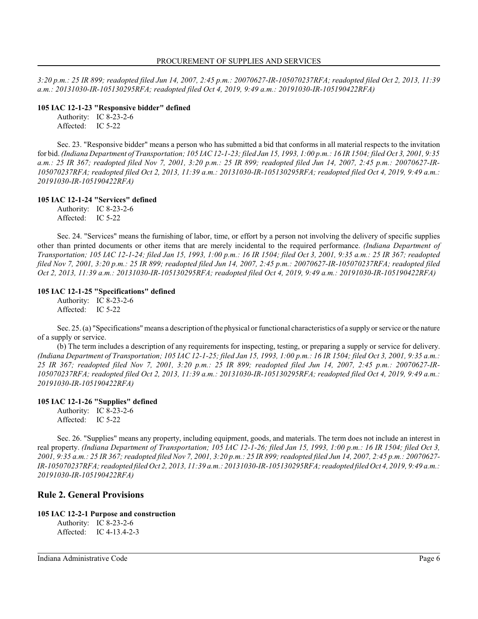*3:20 p.m.: 25 IR 899; readopted filed Jun 14, 2007, 2:45 p.m.: 20070627-IR-105070237RFA; readopted filed Oct 2, 2013, 11:39 a.m.: 20131030-IR-105130295RFA; readopted filed Oct 4, 2019, 9:49 a.m.: 20191030-IR-105190422RFA)*

## **105 IAC 12-1-23 "Responsive bidder" defined**

Authority: IC 8-23-2-6 Affected: IC 5-22

Sec. 23. "Responsive bidder" means a person who has submitted a bid that conforms in all material respects to the invitation for bid. *(Indiana Department of Transportation; 105 IAC 12-1-23; filed Jan 15, 1993, 1:00 p.m.: 16 IR 1504; filed Oct 3, 2001, 9:35 a.m.: 25 IR 367; readopted filed Nov 7, 2001, 3:20 p.m.: 25 IR 899; readopted filed Jun 14, 2007, 2:45 p.m.: 20070627-IR-105070237RFA; readopted filed Oct 2, 2013, 11:39 a.m.: 20131030-IR-105130295RFA; readopted filed Oct 4, 2019, 9:49 a.m.: 20191030-IR-105190422RFA)*

## **105 IAC 12-1-24 "Services" defined**

Authority: IC 8-23-2-6 Affected: IC 5-22

Sec. 24. "Services" means the furnishing of labor, time, or effort by a person not involving the delivery of specific supplies other than printed documents or other items that are merely incidental to the required performance. *(Indiana Department of Transportation; 105 IAC 12-1-24; filed Jan 15, 1993, 1:00 p.m.: 16 IR 1504; filed Oct 3, 2001, 9:35 a.m.: 25 IR 367; readopted filed Nov 7, 2001, 3:20 p.m.: 25 IR 899; readopted filed Jun 14, 2007, 2:45 p.m.: 20070627-IR-105070237RFA; readopted filed Oct 2, 2013, 11:39 a.m.: 20131030-IR-105130295RFA; readopted filed Oct 4, 2019, 9:49 a.m.: 20191030-IR-105190422RFA)*

## **105 IAC 12-1-25 "Specifications" defined**

Authority: IC 8-23-2-6 Affected: IC 5-22

Sec. 25. (a) "Specifications" means a description of the physical or functional characteristics of a supply orservice or the nature of a supply or service.

(b) The term includes a description of any requirements for inspecting, testing, or preparing a supply or service for delivery. *(Indiana Department of Transportation; 105 IAC 12-1-25; filed Jan 15, 1993, 1:00 p.m.: 16 IR 1504; filed Oct 3, 2001, 9:35 a.m.: 25 IR 367; readopted filed Nov 7, 2001, 3:20 p.m.: 25 IR 899; readopted filed Jun 14, 2007, 2:45 p.m.: 20070627-IR-105070237RFA; readopted filed Oct 2, 2013, 11:39 a.m.: 20131030-IR-105130295RFA; readopted filed Oct 4, 2019, 9:49 a.m.: 20191030-IR-105190422RFA)*

## **105 IAC 12-1-26 "Supplies" defined**

Authority: IC 8-23-2-6 Affected: IC 5-22

Sec. 26. "Supplies" means any property, including equipment, goods, and materials. The term does not include an interest in real property. *(Indiana Department of Transportation; 105 IAC 12-1-26; filed Jan 15, 1993, 1:00 p.m.: 16 IR 1504; filed Oct 3, 2001, 9:35 a.m.: 25 IR 367; readopted filed Nov 7, 2001, 3:20 p.m.: 25 IR 899; readopted filed Jun 14, 2007, 2:45 p.m.: 20070627- IR-105070237RFA; readopted filed Oct 2, 2013, 11:39 a.m.: 20131030-IR-105130295RFA; readopted filed Oct 4, 2019, 9:49 a.m.: 20191030-IR-105190422RFA)*

## **Rule 2. General Provisions**

## **105 IAC 12-2-1 Purpose and construction**

Authority: IC 8-23-2-6 Affected: IC 4-13.4-2-3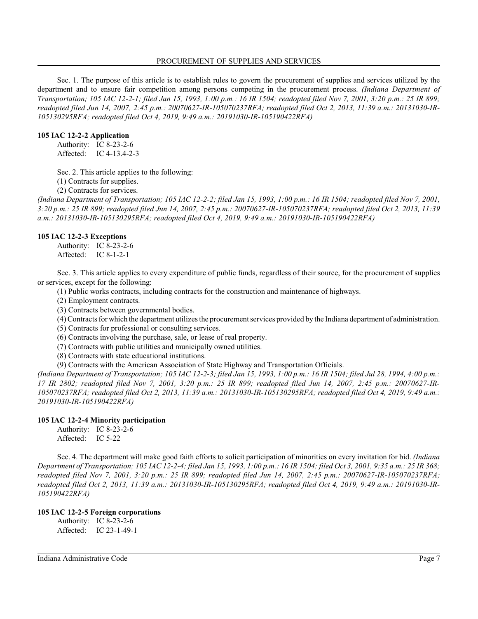Sec. 1. The purpose of this article is to establish rules to govern the procurement of supplies and services utilized by the department and to ensure fair competition among persons competing in the procurement process. *(Indiana Department of Transportation; 105 IAC 12-2-1; filed Jan 15, 1993, 1:00 p.m.: 16 IR 1504; readopted filed Nov 7, 2001, 3:20 p.m.: 25 IR 899; readopted filed Jun 14, 2007, 2:45 p.m.: 20070627-IR-105070237RFA; readopted filed Oct 2, 2013, 11:39 a.m.: 20131030-IR-105130295RFA; readopted filed Oct 4, 2019, 9:49 a.m.: 20191030-IR-105190422RFA)*

#### **105 IAC 12-2-2 Application**

Authority: IC 8-23-2-6 Affected: IC 4-13.4-2-3

Sec. 2. This article applies to the following:

(1) Contracts for supplies.

(2) Contracts for services.

*(Indiana Department of Transportation; 105 IAC 12-2-2; filed Jan 15, 1993, 1:00 p.m.: 16 IR 1504; readopted filed Nov 7, 2001, 3:20 p.m.: 25 IR 899; readopted filed Jun 14, 2007, 2:45 p.m.: 20070627-IR-105070237RFA; readopted filed Oct 2, 2013, 11:39 a.m.: 20131030-IR-105130295RFA; readopted filed Oct 4, 2019, 9:49 a.m.: 20191030-IR-105190422RFA)*

#### **105 IAC 12-2-3 Exceptions**

Authority: IC 8-23-2-6 Affected: IC 8-1-2-1

Sec. 3. This article applies to every expenditure of public funds, regardless of their source, for the procurement of supplies or services, except for the following:

(1) Public works contracts, including contracts for the construction and maintenance of highways.

(2) Employment contracts.

(3) Contracts between governmental bodies.

(4) Contracts for which the department utilizes the procurement services provided by the Indiana department of administration.

(5) Contracts for professional or consulting services.

(6) Contracts involving the purchase, sale, or lease of real property.

(7) Contracts with public utilities and municipally owned utilities.

(8) Contracts with state educational institutions.

(9) Contracts with the American Association of State Highway and Transportation Officials.

*(Indiana Department of Transportation; 105 IAC 12-2-3; filed Jan 15, 1993, 1:00 p.m.: 16 IR 1504; filed Jul 28, 1994, 4:00 p.m.: 17 IR 2802; readopted filed Nov 7, 2001, 3:20 p.m.: 25 IR 899; readopted filed Jun 14, 2007, 2:45 p.m.: 20070627-IR-105070237RFA; readopted filed Oct 2, 2013, 11:39 a.m.: 20131030-IR-105130295RFA; readopted filed Oct 4, 2019, 9:49 a.m.: 20191030-IR-105190422RFA)*

#### **105 IAC 12-2-4 Minority participation**

Authority: IC 8-23-2-6 Affected: IC 5-22

Sec. 4. The department will make good faith efforts to solicit participation of minorities on every invitation for bid. *(Indiana Department of Transportation; 105 IAC 12-2-4; filed Jan 15, 1993, 1:00 p.m.: 16 IR 1504; filed Oct 3, 2001, 9:35 a.m.: 25 IR 368; readopted filed Nov 7, 2001, 3:20 p.m.: 25 IR 899; readopted filed Jun 14, 2007, 2:45 p.m.: 20070627-IR-105070237RFA; readopted filed Oct 2, 2013, 11:39 a.m.: 20131030-IR-105130295RFA; readopted filed Oct 4, 2019, 9:49 a.m.: 20191030-IR-105190422RFA)*

#### **105 IAC 12-2-5 Foreign corporations**

Authority: IC 8-23-2-6 Affected: IC 23-1-49-1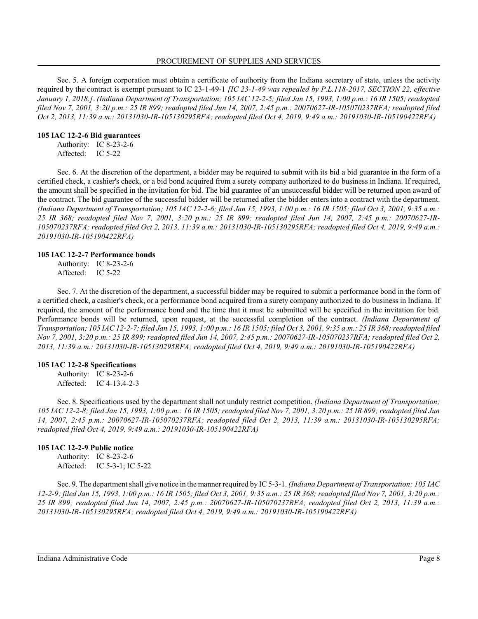Sec. 5. A foreign corporation must obtain a certificate of authority from the Indiana secretary of state, unless the activity required by the contract is exempt pursuant to IC 23-1-49-1 *[IC 23-1-49 was repealed by P.L.118-2017, SECTION 22, effective January 1, 2018.]*. *(Indiana Department of Transportation; 105 IAC 12-2-5; filed Jan 15, 1993, 1:00 p.m.: 16 IR 1505; readopted filed Nov 7, 2001, 3:20 p.m.: 25 IR 899; readopted filed Jun 14, 2007, 2:45 p.m.: 20070627-IR-105070237RFA; readopted filed Oct 2, 2013, 11:39 a.m.: 20131030-IR-105130295RFA; readopted filed Oct 4, 2019, 9:49 a.m.: 20191030-IR-105190422RFA)*

#### **105 IAC 12-2-6 Bid guarantees**

Authority: IC 8-23-2-6 Affected: IC 5-22

Sec. 6. At the discretion of the department, a bidder may be required to submit with its bid a bid guarantee in the form of a certified check, a cashier's check, or a bid bond acquired from a surety company authorized to do business in Indiana. If required, the amount shall be specified in the invitation for bid. The bid guarantee of an unsuccessful bidder will be returned upon award of the contract. The bid guarantee of the successful bidder will be returned after the bidder enters into a contract with the department. *(Indiana Department of Transportation; 105 IAC 12-2-6; filed Jan 15, 1993, 1:00 p.m.: 16 IR 1505; filed Oct 3, 2001, 9:35 a.m.: 25 IR 368; readopted filed Nov 7, 2001, 3:20 p.m.: 25 IR 899; readopted filed Jun 14, 2007, 2:45 p.m.: 20070627-IR-105070237RFA; readopted filed Oct 2, 2013, 11:39 a.m.: 20131030-IR-105130295RFA; readopted filed Oct 4, 2019, 9:49 a.m.: 20191030-IR-105190422RFA)*

#### **105 IAC 12-2-7 Performance bonds**

Authority: IC 8-23-2-6 Affected: IC 5-22

Sec. 7. At the discretion of the department, a successful bidder may be required to submit a performance bond in the form of a certified check, a cashier's check, or a performance bond acquired from a surety company authorized to do business in Indiana. If required, the amount of the performance bond and the time that it must be submitted will be specified in the invitation for bid. Performance bonds will be returned, upon request, at the successful completion of the contract. *(Indiana Department of Transportation; 105 IAC 12-2-7; filed Jan 15, 1993, 1:00 p.m.: 16 IR 1505; filed Oct 3, 2001, 9:35 a.m.: 25 IR 368;readopted filed Nov 7, 2001, 3:20 p.m.: 25 IR 899; readopted filed Jun 14, 2007, 2:45 p.m.: 20070627-IR-105070237RFA; readopted filed Oct 2, 2013, 11:39 a.m.: 20131030-IR-105130295RFA; readopted filed Oct 4, 2019, 9:49 a.m.: 20191030-IR-105190422RFA)*

## **105 IAC 12-2-8 Specifications**

Authority: IC 8-23-2-6 Affected: IC 4-13.4-2-3

Sec. 8. Specifications used by the department shall not unduly restrict competition. *(Indiana Department of Transportation; 105 IAC 12-2-8; filed Jan 15, 1993, 1:00 p.m.: 16 IR 1505; readopted filed Nov 7, 2001, 3:20 p.m.: 25 IR 899; readopted filed Jun 14, 2007, 2:45 p.m.: 20070627-IR-105070237RFA; readopted filed Oct 2, 2013, 11:39 a.m.: 20131030-IR-105130295RFA; readopted filed Oct 4, 2019, 9:49 a.m.: 20191030-IR-105190422RFA)*

## **105 IAC 12-2-9 Public notice**

Authority: IC 8-23-2-6 Affected: IC 5-3-1; IC 5-22

Sec. 9. The department shall give notice in the manner required by IC 5-3-1. *(Indiana Department of Transportation; 105 IAC 12-2-9; filed Jan 15, 1993, 1:00 p.m.: 16 IR 1505; filed Oct 3, 2001, 9:35 a.m.: 25 IR 368; readopted filed Nov 7, 2001, 3:20 p.m.: 25 IR 899; readopted filed Jun 14, 2007, 2:45 p.m.: 20070627-IR-105070237RFA; readopted filed Oct 2, 2013, 11:39 a.m.: 20131030-IR-105130295RFA; readopted filed Oct 4, 2019, 9:49 a.m.: 20191030-IR-105190422RFA)*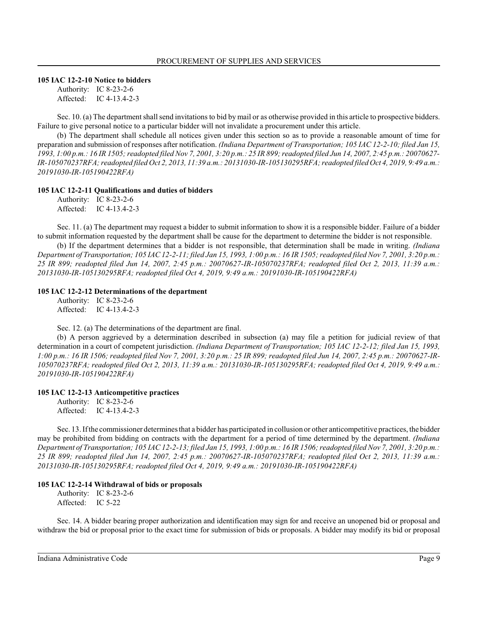#### **105 IAC 12-2-10 Notice to bidders**

Authority: IC 8-23-2-6 Affected: IC 4-13.4-2-3

Sec. 10. (a) The department shall send invitations to bid by mail or as otherwise provided in this article to prospective bidders. Failure to give personal notice to a particular bidder will not invalidate a procurement under this article.

(b) The department shall schedule all notices given under this section so as to provide a reasonable amount of time for preparation and submission of responses after notification. *(Indiana Department of Transportation; 105 IAC 12-2-10; filed Jan 15,* 1993, 1:00 p.m.: 16 IR 1505; readopted filed Nov 7, 2001, 3:20 p.m.: 25 IR 899; readopted filed Jun 14, 2007, 2:45 p.m.: 20070627-*IR-105070237RFA; readopted filed Oct 2, 2013, 11:39 a.m.: 20131030-IR-105130295RFA; readopted filed Oct 4, 2019, 9:49 a.m.: 20191030-IR-105190422RFA)*

#### **105 IAC 12-2-11 Qualifications and duties of bidders**

Authority: IC 8-23-2-6 Affected: IC 4-13.4-2-3

Sec. 11. (a) The department may request a bidder to submit information to show it is a responsible bidder. Failure of a bidder to submit information requested by the department shall be cause for the department to determine the bidder is not responsible.

(b) If the department determines that a bidder is not responsible, that determination shall be made in writing. *(Indiana Department of Transportation; 105 IAC 12-2-11; filed Jan 15, 1993, 1:00 p.m.: 16 IR 1505; readopted filed Nov 7, 2001, 3:20 p.m.: 25 IR 899; readopted filed Jun 14, 2007, 2:45 p.m.: 20070627-IR-105070237RFA; readopted filed Oct 2, 2013, 11:39 a.m.: 20131030-IR-105130295RFA; readopted filed Oct 4, 2019, 9:49 a.m.: 20191030-IR-105190422RFA)*

#### **105 IAC 12-2-12 Determinations of the department**

Authority: IC 8-23-2-6 Affected: IC 4-13.4-2-3

Sec. 12. (a) The determinations of the department are final.

(b) A person aggrieved by a determination described in subsection (a) may file a petition for judicial review of that determination in a court of competent jurisdiction. *(Indiana Department of Transportation; 105 IAC 12-2-12; filed Jan 15, 1993, 1:00 p.m.: 16 IR 1506; readopted filed Nov 7, 2001, 3:20 p.m.: 25 IR 899; readopted filed Jun 14, 2007, 2:45 p.m.: 20070627-IR-105070237RFA; readopted filed Oct 2, 2013, 11:39 a.m.: 20131030-IR-105130295RFA; readopted filed Oct 4, 2019, 9:49 a.m.: 20191030-IR-105190422RFA)*

## **105 IAC 12-2-13 Anticompetitive practices**

Authority: IC 8-23-2-6 Affected: IC 4-13.4-2-3

Sec. 13. If the commissioner determines that a bidder has participated in collusion or other anticompetitive practices, the bidder may be prohibited from bidding on contracts with the department for a period of time determined by the department. *(Indiana Department of Transportation; 105 IAC 12-2-13; filed Jan 15, 1993, 1:00 p.m.: 16 IR 1506; readopted filed Nov 7, 2001, 3:20 p.m.: 25 IR 899; readopted filed Jun 14, 2007, 2:45 p.m.: 20070627-IR-105070237RFA; readopted filed Oct 2, 2013, 11:39 a.m.: 20131030-IR-105130295RFA; readopted filed Oct 4, 2019, 9:49 a.m.: 20191030-IR-105190422RFA)*

#### **105 IAC 12-2-14 Withdrawal of bids or proposals**

Authority: IC 8-23-2-6 Affected: IC 5-22

Sec. 14. A bidder bearing proper authorization and identification may sign for and receive an unopened bid or proposal and withdraw the bid or proposal prior to the exact time for submission of bids or proposals. A bidder may modify its bid or proposal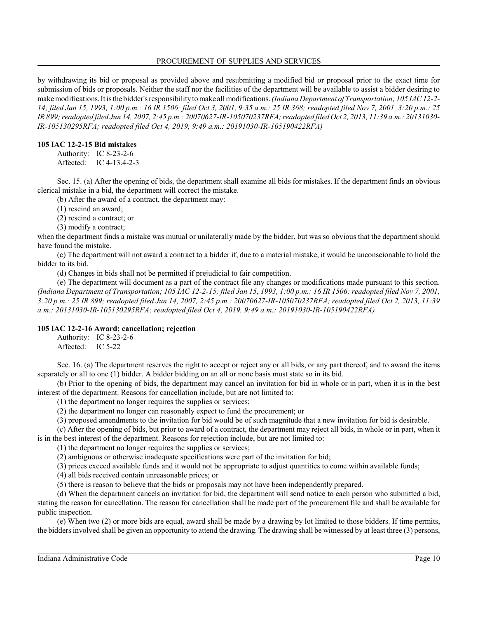by withdrawing its bid or proposal as provided above and resubmitting a modified bid or proposal prior to the exact time for submission of bids or proposals. Neither the staff nor the facilities of the department will be available to assist a bidder desiring to make modifications. It is the bidder's responsibilityto make all modifications. *(Indiana Department of Transportation; 105 IAC 12-2- 14; filed Jan 15, 1993, 1:00 p.m.: 16 IR 1506; filed Oct 3, 2001, 9:35 a.m.: 25 IR 368; readopted filed Nov 7, 2001, 3:20 p.m.: 25 IR 899;readopted filed Jun 14, 2007, 2:45 p.m.: 20070627-IR-105070237RFA; readopted filed Oct 2, 2013, 11:39 a.m.: 20131030- IR-105130295RFA; readopted filed Oct 4, 2019, 9:49 a.m.: 20191030-IR-105190422RFA)*

## **105 IAC 12-2-15 Bid mistakes**

Authority: IC 8-23-2-6 Affected: IC 4-13.4-2-3

Sec. 15. (a) After the opening of bids, the department shall examine all bids for mistakes. If the department finds an obvious clerical mistake in a bid, the department will correct the mistake.

(b) After the award of a contract, the department may:

(1) rescind an award;

(2) rescind a contract; or

(3) modify a contract;

when the department finds a mistake was mutual or unilaterally made by the bidder, but was so obvious that the department should have found the mistake.

(c) The department will not award a contract to a bidder if, due to a material mistake, it would be unconscionable to hold the bidder to its bid.

(d) Changes in bids shall not be permitted if prejudicial to fair competition.

(e) The department will document as a part of the contract file any changes or modifications made pursuant to this section. *(Indiana Department of Transportation; 105 IAC 12-2-15; filed Jan 15, 1993, 1:00 p.m.: 16 IR 1506; readopted filed Nov 7, 2001, 3:20 p.m.: 25 IR 899; readopted filed Jun 14, 2007, 2:45 p.m.: 20070627-IR-105070237RFA; readopted filed Oct 2, 2013, 11:39 a.m.: 20131030-IR-105130295RFA; readopted filed Oct 4, 2019, 9:49 a.m.: 20191030-IR-105190422RFA)*

## **105 IAC 12-2-16 Award; cancellation; rejection**

Authority: IC 8-23-2-6 Affected: IC 5-22

Sec. 16. (a) The department reserves the right to accept or reject any or all bids, or any part thereof, and to award the items separately or all to one (1) bidder. A bidder bidding on an all or none basis must state so in its bid.

(b) Prior to the opening of bids, the department may cancel an invitation for bid in whole or in part, when it is in the best interest of the department. Reasons for cancellation include, but are not limited to:

(1) the department no longer requires the supplies or services;

(2) the department no longer can reasonably expect to fund the procurement; or

(3) proposed amendments to the invitation for bid would be of such magnitude that a new invitation for bid is desirable.

(c) After the opening of bids, but prior to award of a contract, the department may reject all bids, in whole or in part, when it is in the best interest of the department. Reasons for rejection include, but are not limited to:

(1) the department no longer requires the supplies or services;

(2) ambiguous or otherwise inadequate specifications were part of the invitation for bid;

(3) prices exceed available funds and it would not be appropriate to adjust quantities to come within available funds;

(4) all bids received contain unreasonable prices; or

(5) there is reason to believe that the bids or proposals may not have been independently prepared.

(d) When the department cancels an invitation for bid, the department will send notice to each person who submitted a bid, stating the reason for cancellation. The reason for cancellation shall be made part of the procurement file and shall be available for public inspection.

(e) When two (2) or more bids are equal, award shall be made by a drawing by lot limited to those bidders. If time permits, the bidders involved shall be given an opportunity to attend the drawing. The drawing shall be witnessed by at least three (3) persons,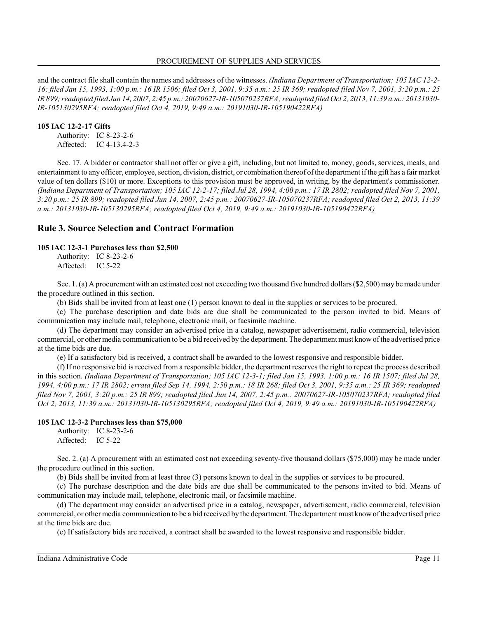and the contract file shall contain the names and addresses of the witnesses. *(Indiana Department of Transportation; 105 IAC 12-2- 16; filed Jan 15, 1993, 1:00 p.m.: 16 IR 1506; filed Oct 3, 2001, 9:35 a.m.: 25 IR 369; readopted filed Nov 7, 2001, 3:20 p.m.: 25 IR 899;readopted filed Jun 14, 2007, 2:45 p.m.: 20070627-IR-105070237RFA; readopted filed Oct 2, 2013, 11:39 a.m.: 20131030- IR-105130295RFA; readopted filed Oct 4, 2019, 9:49 a.m.: 20191030-IR-105190422RFA)*

## **105 IAC 12-2-17 Gifts**

Authority: IC 8-23-2-6 Affected: IC 4-13.4-2-3

Sec. 17. A bidder or contractor shall not offer or give a gift, including, but not limited to, money, goods, services, meals, and entertainment to any officer, employee, section, division, district, or combination thereof of the department if the gift has a fair market value of ten dollars (\$10) or more. Exceptions to this provision must be approved, in writing, by the department's commissioner. *(Indiana Department of Transportation; 105 IAC 12-2-17; filed Jul 28, 1994, 4:00 p.m.: 17 IR 2802; readopted filed Nov 7, 2001, 3:20 p.m.: 25 IR 899; readopted filed Jun 14, 2007, 2:45 p.m.: 20070627-IR-105070237RFA; readopted filed Oct 2, 2013, 11:39 a.m.: 20131030-IR-105130295RFA; readopted filed Oct 4, 2019, 9:49 a.m.: 20191030-IR-105190422RFA)*

## **Rule 3. Source Selection and Contract Formation**

#### **105 IAC 12-3-1 Purchases less than \$2,500**

Authority: IC 8-23-2-6 Affected: IC 5-22

Sec. 1. (a) A procurement with an estimated cost not exceeding two thousand five hundred dollars (\$2,500) may be made under the procedure outlined in this section.

(b) Bids shall be invited from at least one (1) person known to deal in the supplies or services to be procured.

(c) The purchase description and date bids are due shall be communicated to the person invited to bid. Means of communication may include mail, telephone, electronic mail, or facsimile machine.

(d) The department may consider an advertised price in a catalog, newspaper advertisement, radio commercial, television commercial, or other media communication to be a bid received by the department. The department must knowof the advertised price at the time bids are due.

(e) If a satisfactory bid is received, a contract shall be awarded to the lowest responsive and responsible bidder.

(f) If no responsive bid is received from a responsible bidder, the department reserves the right to repeat the process described in this section. *(Indiana Department of Transportation; 105 IAC 12-3-1; filed Jan 15, 1993, 1:00 p.m.: 16 IR 1507; filed Jul 28, 1994, 4:00 p.m.: 17 IR 2802; errata filed Sep 14, 1994, 2:50 p.m.: 18 IR 268; filed Oct 3, 2001, 9:35 a.m.: 25 IR 369; readopted filed Nov 7, 2001, 3:20 p.m.: 25 IR 899; readopted filed Jun 14, 2007, 2:45 p.m.: 20070627-IR-105070237RFA; readopted filed Oct 2, 2013, 11:39 a.m.: 20131030-IR-105130295RFA; readopted filed Oct 4, 2019, 9:49 a.m.: 20191030-IR-105190422RFA)*

## **105 IAC 12-3-2 Purchases less than \$75,000**

Authority: IC 8-23-2-6 Affected: IC 5-22

Sec. 2. (a) A procurement with an estimated cost not exceeding seventy-five thousand dollars (\$75,000) may be made under the procedure outlined in this section.

(b) Bids shall be invited from at least three (3) persons known to deal in the supplies or services to be procured.

(c) The purchase description and the date bids are due shall be communicated to the persons invited to bid. Means of communication may include mail, telephone, electronic mail, or facsimile machine.

(d) The department may consider an advertised price in a catalog, newspaper, advertisement, radio commercial, television commercial, or other media communication to be a bid received by the department. The department must knowof the advertised price at the time bids are due.

(e) If satisfactory bids are received, a contract shall be awarded to the lowest responsive and responsible bidder.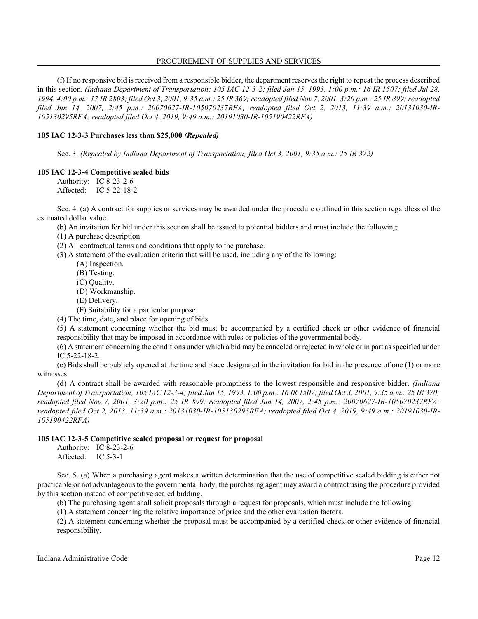(f) If no responsive bid is received from a responsible bidder, the department reserves the right to repeat the process described in this section. *(Indiana Department of Transportation; 105 IAC 12-3-2; filed Jan 15, 1993, 1:00 p.m.: 16 IR 1507; filed Jul 28, 1994, 4:00 p.m.: 17 IR 2803; filed Oct 3, 2001, 9:35 a.m.: 25 IR 369; readopted filed Nov 7, 2001, 3:20 p.m.: 25 IR 899; readopted filed Jun 14, 2007, 2:45 p.m.: 20070627-IR-105070237RFA; readopted filed Oct 2, 2013, 11:39 a.m.: 20131030-IR-105130295RFA; readopted filed Oct 4, 2019, 9:49 a.m.: 20191030-IR-105190422RFA)*

## **105 IAC 12-3-3 Purchases less than \$25,000** *(Repealed)*

Sec. 3. *(Repealed by Indiana Department of Transportation; filed Oct 3, 2001, 9:35 a.m.: 25 IR 372)*

## **105 IAC 12-3-4 Competitive sealed bids**

Authority: IC 8-23-2-6 Affected: IC 5-22-18-2

Sec. 4. (a) A contract for supplies or services may be awarded under the procedure outlined in this section regardless of the estimated dollar value.

(b) An invitation for bid under this section shall be issued to potential bidders and must include the following:

(1) A purchase description.

(2) All contractual terms and conditions that apply to the purchase.

- (3) A statement of the evaluation criteria that will be used, including any of the following:
	- (A) Inspection.
	- (B) Testing.
	- (C) Quality.
	- (D) Workmanship.
	- (E) Delivery.
	- (F) Suitability for a particular purpose.

(4) The time, date, and place for opening of bids.

(5) A statement concerning whether the bid must be accompanied by a certified check or other evidence of financial responsibility that may be imposed in accordance with rules or policies of the governmental body.

(6) A statement concerning the conditions under which a bid may be canceled or rejected in whole or in part as specified under IC 5-22-18-2.

(c) Bids shall be publicly opened at the time and place designated in the invitation for bid in the presence of one (1) or more witnesses.

(d) A contract shall be awarded with reasonable promptness to the lowest responsible and responsive bidder. *(Indiana Department of Transportation; 105 IAC 12-3-4; filed Jan 15, 1993, 1:00 p.m.: 16 IR 1507; filed Oct 3, 2001, 9:35 a.m.: 25 IR 370; readopted filed Nov 7, 2001, 3:20 p.m.: 25 IR 899; readopted filed Jun 14, 2007, 2:45 p.m.: 20070627-IR-105070237RFA; readopted filed Oct 2, 2013, 11:39 a.m.: 20131030-IR-105130295RFA; readopted filed Oct 4, 2019, 9:49 a.m.: 20191030-IR-105190422RFA)*

## **105 IAC 12-3-5 Competitive sealed proposal or request for proposal**

Authority: IC 8-23-2-6 Affected: IC 5-3-1

Sec. 5. (a) When a purchasing agent makes a written determination that the use of competitive sealed bidding is either not practicable or not advantageous to the governmental body, the purchasing agent may award a contract using the procedure provided by this section instead of competitive sealed bidding.

(b) The purchasing agent shall solicit proposals through a request for proposals, which must include the following:

(1) A statement concerning the relative importance of price and the other evaluation factors.

(2) A statement concerning whether the proposal must be accompanied by a certified check or other evidence of financial responsibility.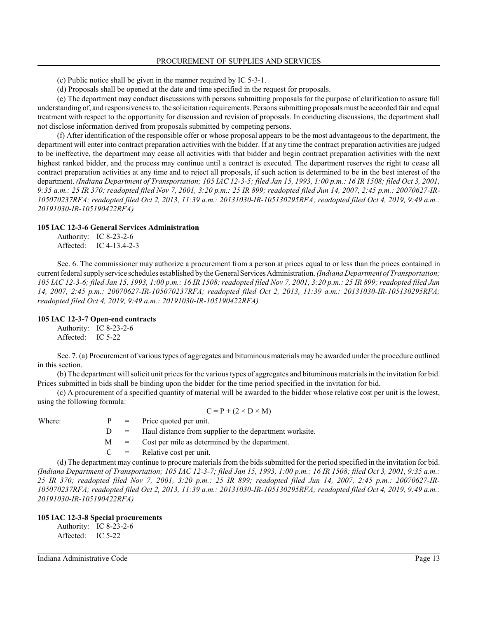(c) Public notice shall be given in the manner required by IC 5-3-1.

(d) Proposals shall be opened at the date and time specified in the request for proposals.

(e) The department may conduct discussions with persons submitting proposals for the purpose of clarification to assure full understanding of, and responsiveness to, the solicitation requirements. Persons submitting proposals must be accorded fair and equal treatment with respect to the opportunity for discussion and revision of proposals. In conducting discussions, the department shall not disclose information derived from proposals submitted by competing persons.

(f) After identification of the responsible offer or whose proposal appears to be the most advantageous to the department, the department will enter into contract preparation activities with the bidder. If at any time the contract preparation activities are judged to be ineffective, the department may cease all activities with that bidder and begin contract preparation activities with the next highest ranked bidder, and the process may continue until a contract is executed. The department reserves the right to cease all contract preparation activities at any time and to reject all proposals, if such action is determined to be in the best interest of the department. *(Indiana Department of Transportation; 105 IAC 12-3-5; filed Jan 15, 1993, 1:00 p.m.: 16 IR 1508; filed Oct 3, 2001, 9:35 a.m.: 25 IR 370; readopted filed Nov 7, 2001, 3:20 p.m.: 25 IR 899; readopted filed Jun 14, 2007, 2:45 p.m.: 20070627-IR-105070237RFA; readopted filed Oct 2, 2013, 11:39 a.m.: 20131030-IR-105130295RFA; readopted filed Oct 4, 2019, 9:49 a.m.: 20191030-IR-105190422RFA)*

#### **105 IAC 12-3-6 General Services Administration**

| Authority: | IC 8-23-2-6     |
|------------|-----------------|
| Affected:  | IC $4-13.4-2-3$ |

Sec. 6. The commissioner may authorize a procurement from a person at prices equal to or less than the prices contained in current federal supply service schedules established by the GeneralServicesAdministration. *(Indiana Department of Transportation; 105 IAC 12-3-6; filed Jan 15, 1993, 1:00 p.m.: 16 IR 1508; readopted filed Nov 7, 2001, 3:20 p.m.: 25 IR 899; readopted filed Jun 14, 2007, 2:45 p.m.: 20070627-IR-105070237RFA; readopted filed Oct 2, 2013, 11:39 a.m.: 20131030-IR-105130295RFA; readopted filed Oct 4, 2019, 9:49 a.m.: 20191030-IR-105190422RFA)*

## **105 IAC 12-3-7 Open-end contracts**

Authority: IC 8-23-2-6 Affected: IC 5-22

Sec. 7. (a) Procurement of various types of aggregates and bituminous materials may be awarded under the procedure outlined in this section.

(b) The department will solicit unit prices for the various types of aggregates and bituminous materials in the invitation for bid. Prices submitted in bids shall be binding upon the bidder for the time period specified in the invitation for bid.

(c) A procurement of a specified quantity of material will be awarded to the bidder whose relative cost per unit is the lowest, using the following formula:

 $C = P + (2 \times D \times M)$ 

Where:  $P = \text{Price quoted per unit.}$ 

 $D =$  Haul distance from supplier to the department worksite.

M = Cost per mile as determined by the department.

 $C =$  Relative cost per unit.

(d) The department may continue to procure materials from the bids submitted for the period specified in the invitation for bid. *(Indiana Department of Transportation; 105 IAC 12-3-7; filed Jan 15, 1993, 1:00 p.m.: 16 IR 1508; filed Oct 3, 2001, 9:35 a.m.: 25 IR 370; readopted filed Nov 7, 2001, 3:20 p.m.: 25 IR 899; readopted filed Jun 14, 2007, 2:45 p.m.: 20070627-IR-105070237RFA; readopted filed Oct 2, 2013, 11:39 a.m.: 20131030-IR-105130295RFA; readopted filed Oct 4, 2019, 9:49 a.m.: 20191030-IR-105190422RFA)*

## **105 IAC 12-3-8 Special procurements**

Authority: IC 8-23-2-6 Affected: IC 5-22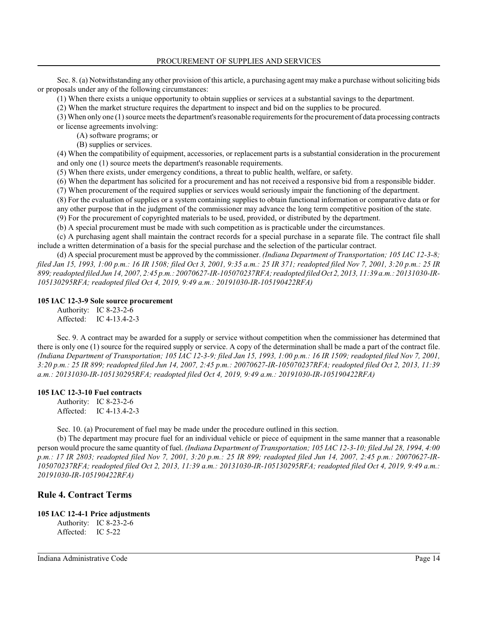Sec. 8. (a) Notwithstanding any other provision of this article, a purchasing agent may make a purchase without soliciting bids or proposals under any of the following circumstances:

(1) When there exists a unique opportunity to obtain supplies or services at a substantial savings to the department.

(2) When the market structure requires the department to inspect and bid on the supplies to be procured.

(3) When only one (1) source meets the department's reasonable requirements for the procurement of data processing contracts or license agreements involving:

(A) software programs; or

(B) supplies or services.

(4) When the compatibility of equipment, accessories, or replacement parts is a substantial consideration in the procurement and only one (1) source meets the department's reasonable requirements.

(5) When there exists, under emergency conditions, a threat to public health, welfare, or safety.

(6) When the department has solicited for a procurement and has not received a responsive bid from a responsible bidder.

(7) When procurement of the required supplies or services would seriously impair the functioning of the department.

(8) For the evaluation of supplies or a system containing supplies to obtain functional information or comparative data or for

any other purpose that in the judgment of the commissioner may advance the long term competitive position of the state.

(9) For the procurement of copyrighted materials to be used, provided, or distributed by the department. (b) A special procurement must be made with such competition as is practicable under the circumstances.

(c) A purchasing agent shall maintain the contract records for a special purchase in a separate file. The contract file shall include a written determination of a basis for the special purchase and the selection of the particular contract.

(d) A special procurement must be approved by the commissioner. *(Indiana Department of Transportation; 105 IAC 12-3-8; filed Jan 15, 1993, 1:00 p.m.: 16 IR 1508; filed Oct 3, 2001, 9:35 a.m.: 25 IR 371; readopted filed Nov 7, 2001, 3:20 p.m.: 25 IR 899;readopted filed Jun 14, 2007, 2:45 p.m.: 20070627-IR-105070237RFA; readopted filed Oct 2, 2013, 11:39 a.m.: 20131030-IR-105130295RFA; readopted filed Oct 4, 2019, 9:49 a.m.: 20191030-IR-105190422RFA)*

## **105 IAC 12-3-9 Sole source procurement**

Authority: IC 8-23-2-6 Affected: IC 4-13.4-2-3

Sec. 9. A contract may be awarded for a supply or service without competition when the commissioner has determined that there is only one (1) source for the required supply or service. A copy of the determination shall be made a part of the contract file. *(Indiana Department of Transportation; 105 IAC 12-3-9; filed Jan 15, 1993, 1:00 p.m.: 16 IR 1509; readopted filed Nov 7, 2001, 3:20 p.m.: 25 IR 899; readopted filed Jun 14, 2007, 2:45 p.m.: 20070627-IR-105070237RFA; readopted filed Oct 2, 2013, 11:39 a.m.: 20131030-IR-105130295RFA; readopted filed Oct 4, 2019, 9:49 a.m.: 20191030-IR-105190422RFA)*

## **105 IAC 12-3-10 Fuel contracts**

Authority: IC 8-23-2-6 Affected: IC 4-13.4-2-3

Sec. 10. (a) Procurement of fuel may be made under the procedure outlined in this section.

(b) The department may procure fuel for an individual vehicle or piece of equipment in the same manner that a reasonable person would procure the same quantity of fuel. *(Indiana Department of Transportation; 105 IAC 12-3-10; filed Jul 28, 1994, 4:00 p.m.: 17 IR 2803; readopted filed Nov 7, 2001, 3:20 p.m.: 25 IR 899; readopted filed Jun 14, 2007, 2:45 p.m.: 20070627-IR-105070237RFA; readopted filed Oct 2, 2013, 11:39 a.m.: 20131030-IR-105130295RFA; readopted filed Oct 4, 2019, 9:49 a.m.: 20191030-IR-105190422RFA)*

## **Rule 4. Contract Terms**

## **105 IAC 12-4-1 Price adjustments**

Authority: IC 8-23-2-6 Affected: IC 5-22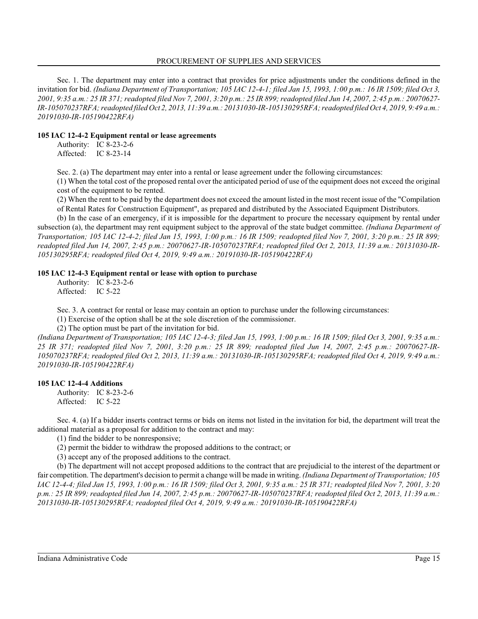Sec. 1. The department may enter into a contract that provides for price adjustments under the conditions defined in the invitation for bid. *(Indiana Department of Transportation; 105 IAC 12-4-1; filed Jan 15, 1993, 1:00 p.m.: 16 IR 1509; filed Oct 3, 2001, 9:35 a.m.: 25 IR 371; readopted filed Nov 7, 2001, 3:20 p.m.: 25 IR 899; readopted filed Jun 14, 2007, 2:45 p.m.: 20070627- IR-105070237RFA; readopted filed Oct 2, 2013, 11:39 a.m.: 20131030-IR-105130295RFA; readopted filed Oct 4, 2019, 9:49 a.m.: 20191030-IR-105190422RFA)*

#### **105 IAC 12-4-2 Equipment rental or lease agreements**

Authority: IC 8-23-2-6 Affected: IC 8-23-14

Sec. 2. (a) The department may enter into a rental or lease agreement under the following circumstances:

(1) When the total cost of the proposed rental over the anticipated period of use of the equipment does not exceed the original cost of the equipment to be rented.

(2) When the rent to be paid by the department does not exceed the amount listed in the most recent issue of the "Compilation of Rental Rates for Construction Equipment", as prepared and distributed by the Associated Equipment Distributors.

(b) In the case of an emergency, if it is impossible for the department to procure the necessary equipment by rental under subsection (a), the department may rent equipment subject to the approval of the state budget committee. *(Indiana Department of Transportation; 105 IAC 12-4-2; filed Jan 15, 1993, 1:00 p.m.: 16 IR 1509; readopted filed Nov 7, 2001, 3:20 p.m.: 25 IR 899; readopted filed Jun 14, 2007, 2:45 p.m.: 20070627-IR-105070237RFA; readopted filed Oct 2, 2013, 11:39 a.m.: 20131030-IR-105130295RFA; readopted filed Oct 4, 2019, 9:49 a.m.: 20191030-IR-105190422RFA)*

#### **105 IAC 12-4-3 Equipment rental or lease with option to purchase**

Authority: IC 8-23-2-6 Affected: IC 5-22

Sec. 3. A contract for rental or lease may contain an option to purchase under the following circumstances:

(1) Exercise of the option shall be at the sole discretion of the commissioner.

(2) The option must be part of the invitation for bid.

*(Indiana Department of Transportation; 105 IAC 12-4-3; filed Jan 15, 1993, 1:00 p.m.: 16 IR 1509; filed Oct 3, 2001, 9:35 a.m.: 25 IR 371; readopted filed Nov 7, 2001, 3:20 p.m.: 25 IR 899; readopted filed Jun 14, 2007, 2:45 p.m.: 20070627-IR-105070237RFA; readopted filed Oct 2, 2013, 11:39 a.m.: 20131030-IR-105130295RFA; readopted filed Oct 4, 2019, 9:49 a.m.: 20191030-IR-105190422RFA)*

#### **105 IAC 12-4-4 Additions**

Authority: IC 8-23-2-6 Affected: IC 5-22

Sec. 4. (a) If a bidder inserts contract terms or bids on items not listed in the invitation for bid, the department will treat the additional material as a proposal for addition to the contract and may:

(1) find the bidder to be nonresponsive;

(2) permit the bidder to withdraw the proposed additions to the contract; or

(3) accept any of the proposed additions to the contract.

(b) The department will not accept proposed additions to the contract that are prejudicial to the interest of the department or fair competition. The department's decision to permit a change will be made in writing. *(Indiana Department of Transportation; 105 IAC 12-4-4; filed Jan 15, 1993, 1:00 p.m.: 16 IR 1509; filed Oct 3, 2001, 9:35 a.m.: 25 IR 371; readopted filed Nov 7, 2001, 3:20 p.m.: 25 IR 899; readopted filed Jun 14, 2007, 2:45 p.m.: 20070627-IR-105070237RFA; readopted filed Oct 2, 2013, 11:39 a.m.: 20131030-IR-105130295RFA; readopted filed Oct 4, 2019, 9:49 a.m.: 20191030-IR-105190422RFA)*